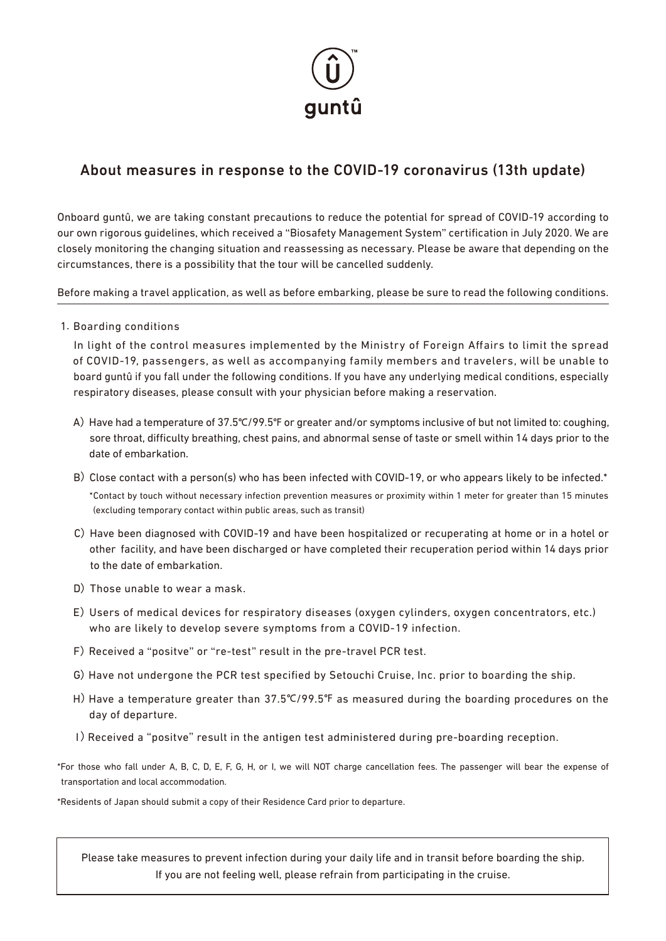

# About measures in response to the COVID-19 coronavirus (13th update)

Onboard guntû, we are taking constant precautions to reduce the potential for spread of COVID-19 according to our own rigorous guidelines, which received a "Biosafety Management System" certification in July 2020. We are closely monitoring the changing situation and reassessing as necessary. Please be aware that depending on the circumstances, there is a possibility that the tour will be cancelled suddenly.

Before making a travel application, as well as before embarking, please be sure to read the following conditions.

1.Boarding conditions

In light of the control measures implemented by the Ministry of Foreign Affairs to limit the spread of COVID-19, passengers, as well as accompanying family members and travelers, will be unable to board guntû if you fall under the following conditions. If you have any underlying medical conditions, especially respiratory diseases, please consult with your physician before making a reservation.

- A) Have had a temperature of 37.5℃/99.5℃ or greater and/or symptoms inclusive of but not limited to: coughing, sore throat, difficulty breathing, chest pains, and abnormal sense of taste or smell within 14 days prior to the date of embarkation.
- B) Close contact with a person(s) who has been infected with COVID-19, or who appears likely to be infected.\* \*Contact by touch without necessary infection prevention measures or proximity within 1 meter for greater than 15 minutes (excluding temporary contact within public areas, such as transit)
- C) Have been diagnosed with COVID-19 and have been hospitalized or recuperating at home or in a hotel or other facility, and have been discharged or have completed their recuperation period within 14 days prior to the date of embarkation.
- D) Those unable to wear a mask.
- E) Users of medical devices for respiratory diseases (oxygen cylinders, oxygen concentrators, etc.) who are likely to develop severe symptoms from a COVID-19 infection.
- F) Received a "positve" or "re-test" result in the pre-travel PCR test.
- G) Have not undergone the PCR test specified by Setouchi Cruise, Inc. prior to boarding the ship.
- H) Have a temperature greater than 37.5℃/99.5℉ as measured during the boarding procedures on the day of departure.
- I) Received a "positve" result in the antigen test administered during pre-boarding reception.

\*For those who fall under A, B, C, D, E, F, G, H, or I, we will NOT charge cancellation fees. The passenger will bear the expense of transportation and local accommodation.

\*Residents of Japan should submit a copy of their Residence Card prior to departure.

Please take measures to prevent infection during your daily life and in transit before boarding the ship. If you are not feeling well, please refrain from participating in the cruise.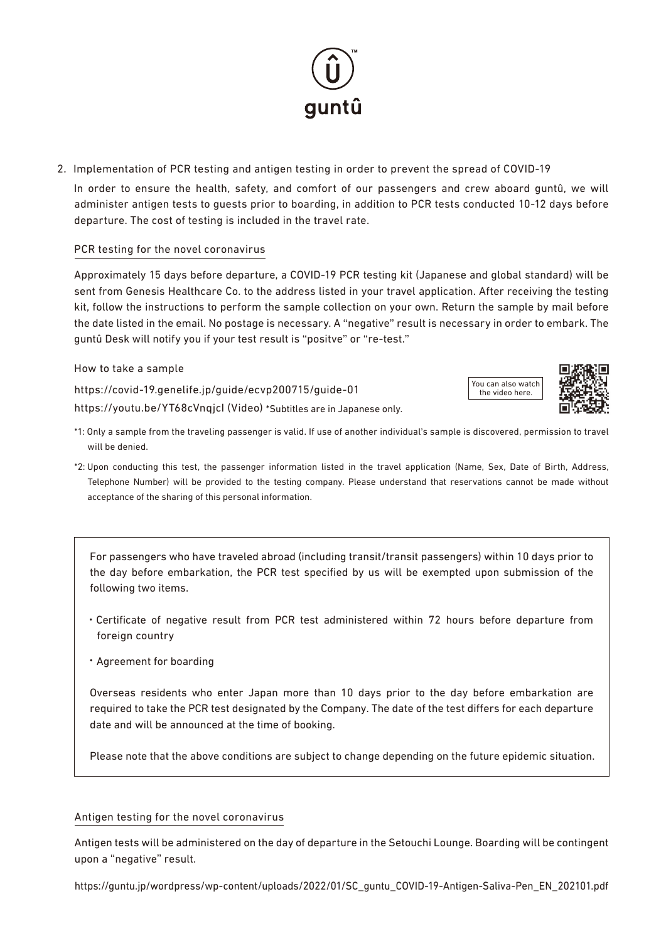# 2.Implementation of PCR testing and antigen testing in order to prevent the spread of COVID-19

 In order to ensure the health, safety, and comfort of our passengers and crew aboard guntû, we will administer antigen tests to guests prior to boarding, in addition to PCR tests conducted 10-12 days before departure. The cost of testing is included in the travel rate.

### PCR testing for the novel coronavirus

Approximately 15 days before departure, a COVID-19 PCR testing kit (Japanese and global standard) will be sent from Genesis Healthcare Co. to the address listed in your travel application. After receiving the testing kit, follow the instructions to perform the sample collection on your own. Return the sample by mail before the date listed in the email. No postage is necessary. A "negative" result is necessary in order to embark. The guntû Desk will notify you if your test result is "positve" or "re-test."

How to take a sample

https://covid-19.genelife.jp/guide/ecvp200715/guide-01

https://youtu.be/YT68cVnqjcI (Video) \*Subtitles are in Japanese only.

- \*1: Only a sample from the traveling passenger is valid. If use of another individual's sample is discovered, permission to travel will be denied.
- \*2: Upon conducting this test, the passenger information listed in the travel application (Name, Sex, Date of Birth, Address, Telephone Number) will be provided to the testing company. Please understand that reservations cannot be made without acceptance of the sharing of this personal information.

For passengers who have traveled abroad (including transit/transit passengers) within 10 days prior to the day before embarkation, the PCR test specified by us will be exempted upon submission of the following two items.

- ・Certificate of negative result from PCR test administered within 72 hours before departure from foreign country
- ・Agreement for boarding

Overseas residents who enter Japan more than 10 days prior to the day before embarkation are required to take the PCR test designated by the Company. The date of the test differs for each departure date and will be announced at the time of booking.

Please note that the above conditions are subject to change depending on the future epidemic situation.

#### Antigen testing for the novel coronavirus

Antigen tests will be administered on the day of departure in the Setouchi Lounge. Boarding will be contingent upon a "negative" result.

https://guntu.jp/wordpress/wp-content/uploads/2022/01/SC\_guntu\_COVID-19-Antigen-Saliva-Pen\_EN\_202101.pdf





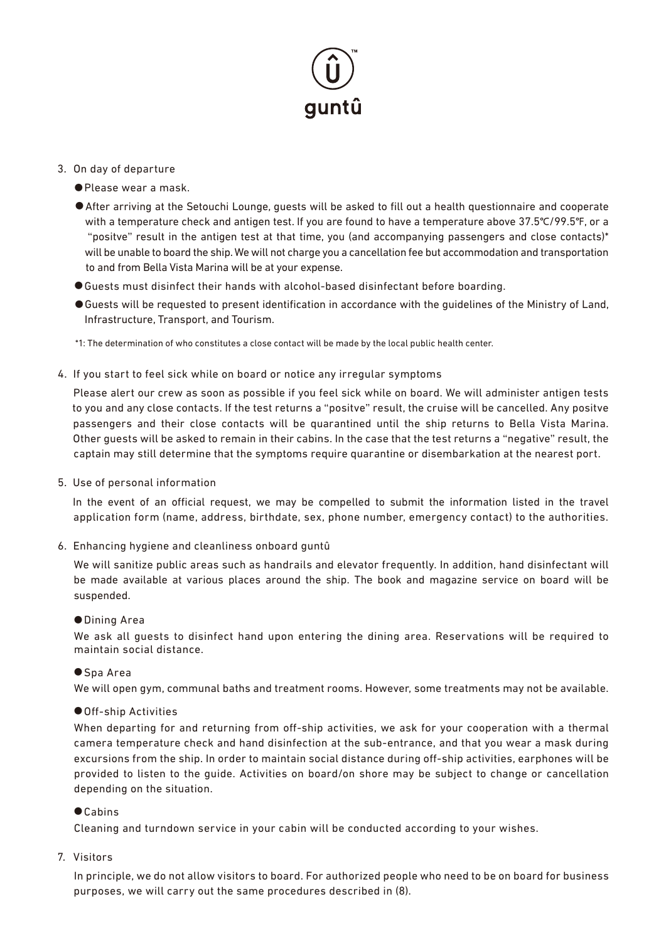# auntû

#### 3.On day of departure

- Please wear a mask.
- After arriving at the Setouchi Lounge, quests will be asked to fill out a health questionnaire and cooperate with a temperature check and antigen test. If you are found to have a temperature above 37.5℃/99.5℉, or a "positve" result in the antigen test at that time, you (and accompanying passengers and close contacts)\* will be unable to board the ship. We will not charge you a cancellation fee but accommodation and transportation to and from Bella Vista Marina will be at your expense.
- Guests must disinfect their hands with alcohol-based disinfectant before boarding.
- ●Guests will be requested to present identification in accordance with the guidelines of the Ministry of Land, Infrastructure, Transport, and Tourism.

\*1: The determination of who constitutes a close contact will be made by the local public health center.

4.If you start to feel sick while on board or notice any irregular symptoms

 Please alert our crew as soon as possible if you feel sick while on board. We will administer antigen tests to you and any close contacts. If the test returns a "positve" result, the cruise will be cancelled. Any positve passengers and their close contacts will be quarantined until the ship returns to Bella Vista Marina. Other guests will be asked to remain in their cabins. In the case that the test returns a "negative" result, the captain may still determine that the symptoms require quarantine or disembarkation at the nearest port.

5.Use of personal information

In the event of an official request, we may be compelled to submit the information listed in the travel application form (name, address, birthdate, sex, phone number, emergency contact) to the authorities.

6.Enhancing hygiene and cleanliness onboard guntû

 We will sanitize public areas such as handrails and elevator frequently. In addition, hand disinfectant will be made available at various places around the ship. The book and magazine service on board will be suspended.

#### ● Dining Area

We ask all guests to disinfect hand upon entering the dining area. Reservations will be required to maintain social distance.

#### ● Spa Area

We will open gym, communal baths and treatment rooms. However, some treatments may not be available.

#### ● Off-ship Activities

When departing for and returning from off-ship activities, we ask for your cooperation with a thermal camera temperature check and hand disinfection at the sub-entrance, and that you wear a mask during excursions from the ship. In order to maintain social distance during off-ship activities, earphones will be provided to listen to the guide. Activities on board/on shore may be subject to change or cancellation depending on the situation.

#### ● Cabins

Cleaning and turndown service in your cabin will be conducted according to your wishes.

7. Visitors

 In principle, we do not allow visitors to board. For authorized people who need to be on board for business purposes, we will carry out the same procedures described in (8).